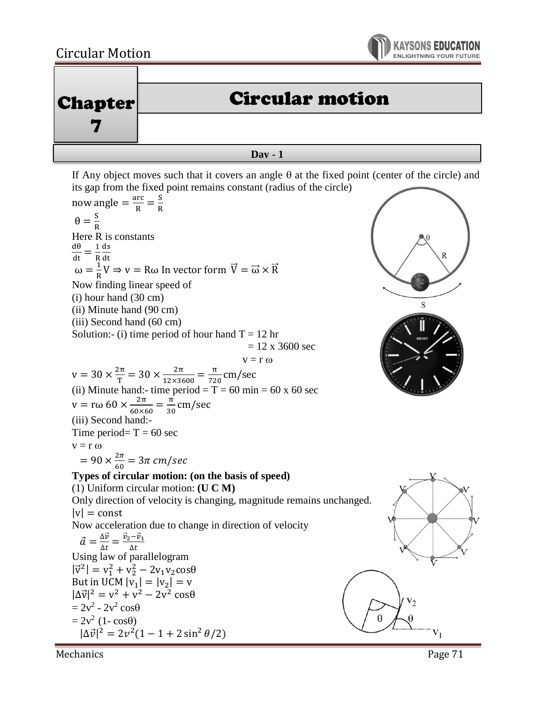



If Any object moves such that it covers an angle  $\theta$  at the fixed point (center of the circle) and its gap from the fixed point remains constant (radius of the circle)

now angle  $=\frac{\text{arc}}{R}$  $\frac{\text{arc}}{\text{R}} = \frac{\text{S}}{\text{R}}$ R  $\theta = \frac{s}{s}$ R Here R is constants  $\frac{d\theta}{dt} = \frac{1}{R}$ ds R dt  $\omega = \frac{1}{R}$  $\frac{1}{R}V \Rightarrow v = R\omega$  In vector form  $\vec{V} = \vec{\omega} \times \vec{R}$ Now finding linear speed of (i) hour hand (30 cm) S (ii) Minute hand (90 cm) (iii) Second hand (60 cm) Solution:- (i) time period of hour hand  $T = 12$  hr  $= 12$  x 3600 sec  $v = r \omega$  $v = 30 \times \frac{2\pi}{r}$  $\frac{2\pi}{T} = 30 \times \frac{2\pi}{12 \times 36}$  $\frac{2\pi}{12\times3600} = \frac{\pi}{72}$  $\frac{\pi}{720}$  cm/sec (ii) Minute hand:- time period =  $T = 60$  min = 60 x 60 sec v = rω 60  $\times \frac{2\pi}{60}$  $\frac{2\pi}{60\times60} = \frac{\pi}{30}$  $\frac{\pi}{30}$  cm/sec (iii) Second hand:- Time period=  $T = 60$  sec  $v = r \omega$  $= 90 \times \frac{2\pi}{6}$  $\frac{2\pi}{60} = 3\pi$  cm/sec **Types of circular motion: (on the basis of speed)** (1) Uniform circular motion: **(U C M)** Only direction of velocity is changing, magnitude remains unchanged.  $|v|$  = const Now acceleration due to change in direction of velocity  $\vec{a} = \frac{\Delta \vec{v}}{4\pi}$  $\frac{\Delta \vec{v}}{\Delta t} = \frac{\vec{v}_2 - \vec{v}_1}{\Delta t}$  $\Delta t$ Using law of parallelogram  $|\vec{v}^2| = v_1^2 + v_2^2 - 2v_1v_2\cos\theta$ But in UCM  $|v_1| = |v_2| = v$  $|\Delta \vec{v}|^2 = v^2 + v^2 - 2v^2 \cos\theta$  $= 2v^2 - 2v^2 \cos \theta$  $= 2v^2(1-cos\theta)$  $|\Delta \vec{v}|^2 = 2v^2(1-1+2\sin^2\theta/2)$  $V_1$ 

Mechanics **Page 71**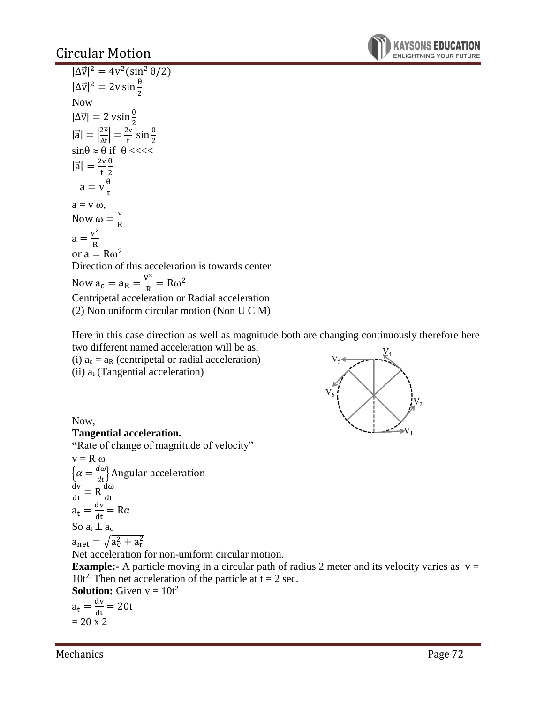## Circular Motion



 $|\Delta \vec{v}|^2 = 4v^2(\sin^2 \theta/2)$  $|\Delta \vec{v}|^2 = 2v \sin \frac{\theta}{2}$ Now  $|\Delta \vec{v}| = 2 \text{ vs in } \frac{\theta}{2}$  $|\vec{a}| = \left|\frac{2\vec{v}}{4\pi}\right|$  $\left|\frac{2\vec{v}}{\Delta t}\right| = \frac{2v}{t}$  $\frac{2v}{t}$  sin $\frac{\theta}{2}$  $\sin\theta \approx \theta$  if  $\theta$  <<<<  $|\vec{a}| = \frac{2v}{h}$ t θ 2  $a = v \frac{\theta}{t}$ t  $a = v \omega$ , Now  $\omega = \frac{v}{R}$ R  $a = \frac{v^2}{R}$ R or  $a = R\omega^2$ Direction of this acceleration is towards center Now  $a_c = a_R = \frac{V^2}{R}$  $\frac{\sqrt{r}}{R} = R\omega^2$ Centripetal acceleration or Radial acceleration (2) Non uniform circular motion (Non U C M)

Here in this case direction as well as magnitude both are changing continuously therefore here two different named acceleration will be as,

(i)  $a_c = a_R$  (centripetal or radial acceleration) (ii)  $a_t$  (Tangential acceleration)



Now,

#### **Tangential acceleration.**

**"**Rate of change of magnitude of velocity"

 $v = R \omega$  $\left\{\alpha=\frac{d\omega}{dt}\right\}$ Angular acceleration  $\frac{dv}{dt} = R \frac{d\omega}{dt}$ dt  $a_t = \frac{dv}{dt} = R\alpha$ So  $a_t \perp a_c$  $a_{\text{net}} = \sqrt{a_{\text{c}}^2 + a_{\text{t}}^2}$ Net acceleration for non-uniform circular motion. **Example:-** A particle moving in a circular path of radius 2 meter and its velocity varies as  $v =$ 10t<sup>2</sup>. Then net acceleration of the particle at  $t = 2$  sec. **Solution:** Given  $v = 10t^2$  $a_t = \frac{dv}{dt} = 20t$ 

 $= 20 x 2$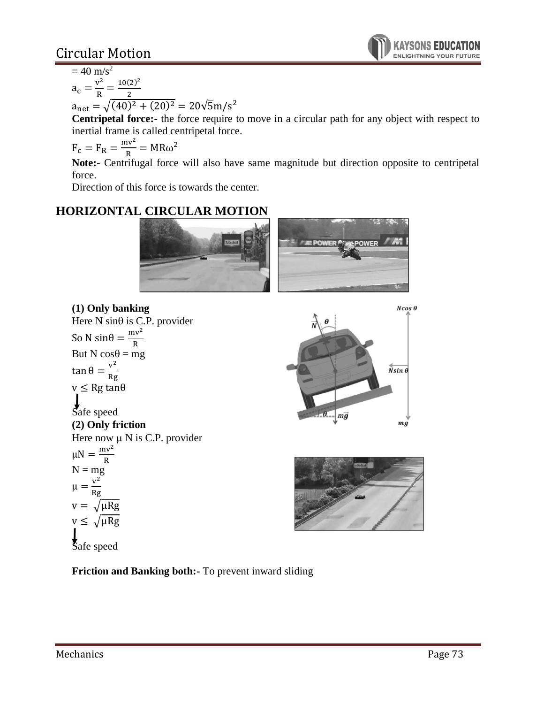# Circular Motion

 $= 40$  m/s<sup>2</sup>  $v^2$ 

$$
a_c = \frac{v^2}{R} = \frac{10(2)}{2}
$$

 $a_{\text{net}} = \sqrt{(40)^2 + (20)^2} = 20\sqrt{5}m/s^2$ 

2

**Centripetal force:-** the force require to move in a circular path for any object with respect to inertial frame is called centripetal force.

$$
F_c = F_R = \frac{mv^2}{R} = MR\omega^2
$$

**Note:-** Centrifugal force will also have same magnitude but direction opposite to centripetal force.

Direction of this force is towards the center.

## **HORIZONTAL CIRCULAR MOTION**





 $\overline{\mathit{N} \sin \theta}$ - $|m\vec{g}|$  $mg$ 

 $Ncos \theta$ 



**Friction and Banking both:-** To prevent inward sliding